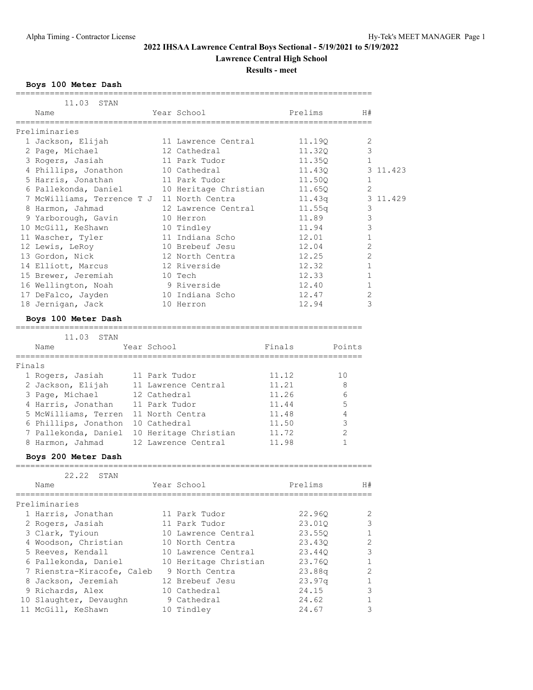**Lawrence Central High School**

**Results - meet**

#### **Boys 100 Meter Dash**

| 11.03<br>STAN                                   |                        |                             |         |                |          |
|-------------------------------------------------|------------------------|-----------------------------|---------|----------------|----------|
| Name                                            |                        | Year School                 | Prelims | H#             |          |
| Preliminaries                                   |                        |                             |         | ===========    |          |
| 1 Jackson, Elijah                               |                        | 11 Lawrence Central         | 11.19Q  | 2              |          |
| 2 Page, Michael                                 |                        | 12 Cathedral                | 11.32Q  | 3              |          |
| 3 Rogers, Jasiah                                |                        | 11 Park Tudor               | 11.35Q  | 1              |          |
| 4 Phillips, Jonathon                            |                        | 10 Cathedral                | 11.430  |                | 3 11.423 |
| 5 Harris, Jonathan                              |                        | 11 Park Tudor               | 11.500  | 1              |          |
| 6 Pallekonda, Daniel                            |                        | 10 Heritage Christian       | 11.650  | 2              |          |
| 7 McWilliams, Terrence T J 11 North Centra      |                        |                             | 11.43q  |                | 3 11.429 |
| 8 Harmon, Jahmad                                |                        | 12 Lawrence Central         | 11.55q  | 3              |          |
| 9 Yarborough, Gavin                             |                        | 10 Herron                   | 11.89   | 3              |          |
| 10 McGill, KeShawn                              |                        | 10 Tindley                  | 11.94   | 3              |          |
| 11 Wascher, Tyler                               |                        | 11 Indiana Scho             | 12.01   | 1              |          |
| 12 Lewis, LeRoy                                 |                        | 10 Brebeuf Jesu             | 12.04   | 2              |          |
| 13 Gordon, Nick                                 |                        | 12 North Centra             | 12.25   | $\overline{2}$ |          |
| 14 Elliott, Marcus                              |                        | 12 Riverside                | 12.32   | 1              |          |
| 15 Brewer, Jeremiah                             |                        | 10 Tech                     | 12.33   | 1              |          |
| 16 Wellington, Noah                             |                        | 9 Riverside                 | 12.40   | 1              |          |
|                                                 |                        |                             | 12.47   | 2              |          |
| 17 DeFalco, Jayden                              |                        | 10 Indiana Scho             |         | 3              |          |
| 18 Jernigan, Jack                               |                        | 10 Herron                   | 12.94   |                |          |
| Boys 100 Meter Dash<br>------------------------ |                        |                             |         |                |          |
| 11.03<br>STAN                                   |                        | =========================== |         |                |          |
| Name                                            | Year School            |                             | Finals  | Points         |          |
| =============<br>Finals                         |                        |                             |         |                |          |
| 1 Rogers, Jasiah                                | 11 Park Tudor          |                             | 11.12   | 10             |          |
| 2 Jackson, Elijah                               |                        | 11 Lawrence Central         | 11.21   | 8              |          |
| 3 Page, Michael                                 | 12 Cathedral           |                             | 11.26   | 6              |          |
| 4 Harris, Jonathan                              | 11 Park Tudor          |                             | 11.44   | 5              |          |
| 5 McWilliams, Terren 11 North Centra            |                        |                             | 11.48   | 4              |          |
| 6 Phillips, Jonathon 10 Cathedral               |                        |                             | 11.50   | 3              |          |
| 7 Pallekonda, Daniel 10 Heritage Christian      |                        |                             | 11.72   | $\overline{2}$ |          |
| 8 Harmon, Jahmad                                |                        | 12 Lawrence Central         | 11.98   | $\mathbf{1}$   |          |
| Boys 200 Meter Dash                             |                        |                             |         |                |          |
| 22.22<br>STAN                                   |                        |                             |         |                |          |
| Name                                            | ====================== | Year School                 | Prelims | H#             |          |
| Preliminaries                                   |                        |                             |         |                |          |
| 1 Harris, Jonathan                              |                        | 11 Park Tudor               | 22.96Q  | 2              |          |
| 2 Rogers, Jasiah                                |                        | 11 Park Tudor               | 23.010  | 3              |          |
| 3 Clark, Tyioun                                 |                        | 10 Lawrence Central         | 23.55Q  | 1              |          |
| 4 Woodson, Christian                            |                        | 10 North Centra             |         | 2              |          |
|                                                 |                        |                             | 23.43Q  |                |          |
| 5 Reeves, Kendall                               |                        | 10 Lawrence Central         | 23.44Q  | 3              |          |
| 6 Pallekonda, Daniel                            |                        | 10 Heritage Christian       | 23.760  | 1              |          |
| 7 Rienstra-Kiracofe, Caleb                      |                        | 9 North Centra              | 23.88q  | 2              |          |
| 8 Jackson, Jeremiah                             |                        | 12 Brebeuf Jesu             | 23.97q  | 1              |          |
| 9 Richards, Alex                                |                        | 10 Cathedral                | 24.15   | 3              |          |

 10 Slaughter, Devaughn 9 Cathedral 24.62 1 11 McGill, KeShawn 10 Tindley 24.67 3

=========================================================================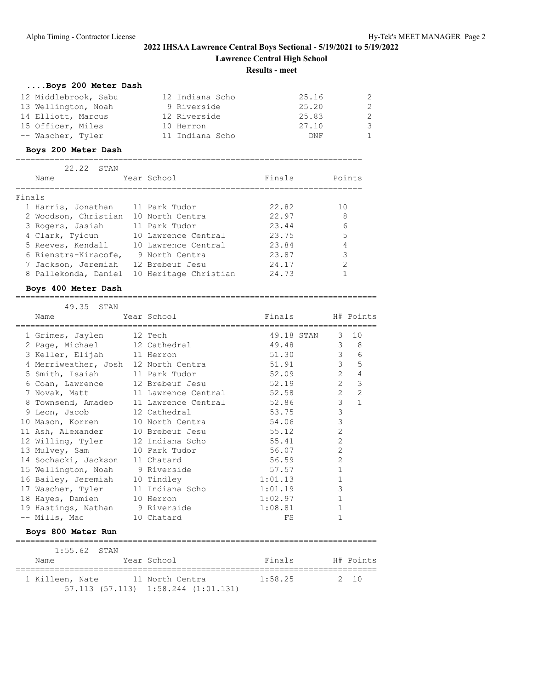# **2022 IHSAA Lawrence Central Boys Sectional - 5/19/2021 to 5/19/2022 Lawrence Central High School**

# **Results - meet**

| Boys 200 Meter Dash  |                 |       |              |
|----------------------|-----------------|-------|--------------|
| 12 Middlebrook, Sabu | 12 Indiana Scho | 25.16 | 2            |
| 13 Wellington, Noah  | 9 Riverside     | 25.20 | -2           |
| 14 Elliott, Marcus   | 12 Riverside    | 25.83 | -2           |
| 15 Officer, Miles    | 10 Herron       | 27.10 | -3           |
| -- Wascher, Tyler    | 11 Indiana Scho | DNF   | $\mathbf{1}$ |

## **Boys 200 Meter Dash**

| 22.22<br>STAN        |                       |        |               |
|----------------------|-----------------------|--------|---------------|
| Name                 | Year School           | Finals | Points        |
|                      |                       |        |               |
| Finals               |                       |        |               |
| 1 Harris, Jonathan   | 11 Park Tudor         | 22.82  | 10            |
| 2 Woodson, Christian | 10 North Centra       | 22.97  | 8             |
| 3 Rogers, Jasiah     | 11 Park Tudor         | 23.44  | 6             |
| 4 Clark, Tyioun      | 10 Lawrence Central   | 23.75  | 5             |
| 5 Reeves, Kendall    | 10 Lawrence Central   | 23.84  | 4             |
| 6 Rienstra-Kiracofe, | 9 North Centra        | 23.87  | 3             |
| 7 Jackson, Jeremiah  | 12 Brebeuf Jesu       | 24.17  | $\mathcal{L}$ |
| 8 Pallekonda, Daniel | 10 Heritage Christian | 24.73  |               |

=======================================================================

## **Boys 400 Meter Dash**

#### ==========================================================================

| 49.35 STAN                                   |                 |                                        |                |                  |
|----------------------------------------------|-----------------|----------------------------------------|----------------|------------------|
| Name                                         | Year School     | Finals H# Points                       |                |                  |
| 1 Grimes, Jaylen 12 Tech                     |                 | 49.18 STAN                             | $\mathcal{S}$  | 10               |
| 2 Page, Michael 12 Cathedral                 |                 | 49.48                                  |                | $3 \quad 8$      |
| 3 Keller, Elijah 11 Herron                   |                 | 51.30                                  |                | $3^{\circ}$<br>6 |
| 4 Merriweather, Josh 12 North Centra         |                 | 51.91                                  | 3 <sup>7</sup> | 5                |
| 5 Smith, Isaiah 11 Park Tudor                |                 | 52.09                                  | $\overline{2}$ | $\overline{4}$   |
|                                              |                 | 6 Coan, Lawrence 12 Brebeuf Jesu 52.19 | $\overline{2}$ | 3                |
| 7 Novak, Matt 11 Lawrence Central            |                 | 52.58                                  | $2^{\circ}$    | $\overline{c}$   |
| 8 Townsend, Amadeo 11 Lawrence Central 52.86 |                 |                                        | $\mathcal{S}$  | $\mathbf{1}$     |
| 9 Leon, Jacob 12 Cathedral                   |                 | 53.75                                  | $\mathfrak{Z}$ |                  |
| 10 Mason, Korren 10 North Centra             |                 | 54.06                                  | $\mathfrak{Z}$ |                  |
| 11 Ash, Alexander                            | 10 Brebeuf Jesu | 55.12                                  | $\overline{c}$ |                  |
| 12 Willing, Tyler                            | 12 Indiana Scho | 55.41                                  | $\overline{2}$ |                  |
| 13 Mulvey, Sam                               | 10 Park Tudor   | 56.07                                  | 2              |                  |
| 14 Sochacki, Jackson 11 Chatard              |                 | 56.59                                  | $\overline{2}$ |                  |
| 15 Wellington, Noah 9 Riverside              |                 | 57.57                                  | $\mathbf{1}$   |                  |
| 16 Bailey, Jeremiah 10 Tindley               |                 | 1:01.13                                | $\mathbf{1}$   |                  |
| 17 Wascher, Tyler                            | 11 Indiana Scho | 1:01.19                                | 3              |                  |
| 18 Hayes, Damien                             | 10 Herron       | 1:02.97                                | $\mathbf{1}$   |                  |
| 19 Hastings, Nathan 9 Riverside              |                 | 1:08.81                                | $\mathbf{1}$   |                  |
| -- Mills, Mac                                | 10 Chatard      | FS                                     | 1              |                  |
| Boys 800 Meter Run                           |                 |                                        |                |                  |

|                 | $1:55.62$ STAN |                                             |         |           |
|-----------------|----------------|---------------------------------------------|---------|-----------|
| Name            |                | Year School                                 | Finals  | H# Points |
|                 |                |                                             |         |           |
| 1 Killeen, Nate |                | 11 North Centra                             | 1:58.25 | 2 10      |
|                 |                | $57.113$ $(57.113)$ $1:58.244$ $(1:01.131)$ |         |           |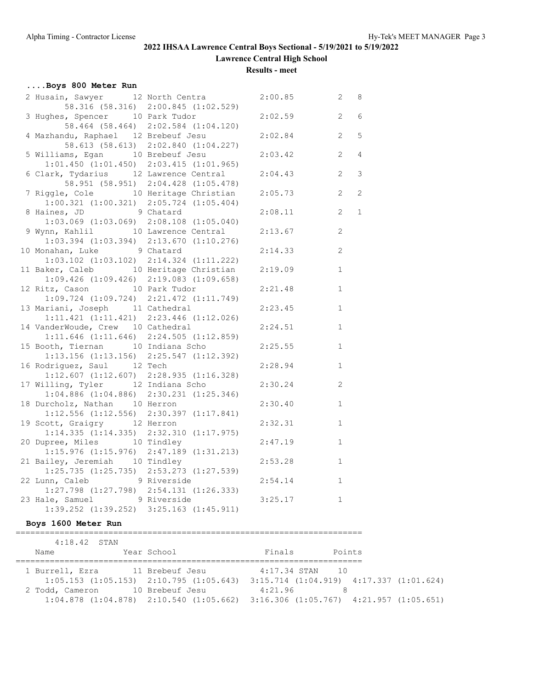**Lawrence Central High School**

**Results - meet**

| Boys 800 Meter Run                                                             |                                     |         |                                  |
|--------------------------------------------------------------------------------|-------------------------------------|---------|----------------------------------|
| 2 Husain, Sawyer 12 North Centra                                               |                                     | 2:00.85 | $\mathbf{2}$<br>8                |
|                                                                                | 58.316 (58.316) 2:00.845 (1:02.529) |         |                                  |
| 3 Hughes, Spencer 10 Park Tudor                                                |                                     | 2:02.59 | 2<br>6                           |
|                                                                                | 58.464 (58.464) 2:02.584 (1:04.120) |         |                                  |
| 4 Mazhandu, Raphael 12 Brebeuf Jesu                                            |                                     | 2:02.84 | 2<br>5                           |
|                                                                                | 58.613 (58.613) 2:02.840 (1:04.227) |         |                                  |
| 5 Williams, Egan 10 Brebeuf Jesu                                               |                                     | 2:03.42 | $\overline{2}$<br>$\overline{4}$ |
| $1:01.450$ $(1:01.450)$ $2:03.415$ $(1:01.965)$                                |                                     |         |                                  |
| 6 Clark, Tydarius 12 Lawrence Central                                          |                                     | 2:04.43 | 2<br>3                           |
|                                                                                | 58.951 (58.951) 2:04.428 (1:05.478) |         |                                  |
| 7 Riggle, Cole 10 Heritage Christian                                           |                                     | 2:05.73 | 2<br>2                           |
| $1:00.321$ $(1:00.321)$ $2:05.724$ $(1:05.404)$                                |                                     |         |                                  |
| 8 Haines, JD 9 Chatard                                                         |                                     | 2:08.11 | 2<br>$\mathbf{1}$                |
| $1:03.069$ $(1:03.069)$ $2:08.108$ $(1:05.040)$                                |                                     |         |                                  |
| 9 Wynn, Kahlil 10 Lawrence Central                                             |                                     | 2:13.67 | 2                                |
| $1:03.394$ $(1:03.394)$ $2:13.670$ $(1:10.276)$                                |                                     |         |                                  |
| 10 Monahan, Luke 9 Chatard                                                     |                                     | 2:14.33 | 2                                |
| $1:03.102$ $(1:03.102)$ $2:14.324$ $(1:11.222)$                                |                                     |         |                                  |
| 11 Baker, Caleb 10 Heritage Christian                                          |                                     | 2:19.09 | $\mathbf{1}$                     |
| $1:09.426$ $(1:09.426)$ $2:19.083$ $(1:09.658)$                                |                                     |         |                                  |
| 12 Ritz, Cason 10 Park Tudor                                                   |                                     | 2:21.48 | $\mathbf{1}$                     |
| $1:09.724$ $(1:09.724)$ $2:21.472$ $(1:11.749)$                                |                                     |         |                                  |
| 13 Mariani, Joseph 11 Cathedral                                                |                                     | 2:23.45 | $\mathbf{1}$                     |
| $1:11.421$ $(1:11.421)$ $2:23.446$ $(1:12.026)$                                |                                     |         |                                  |
| 14 VanderWoude, Crew 10 Cathedral                                              |                                     | 2:24.51 | $\mathbf{1}$                     |
| $1:11.646$ $(1:11.646)$ $2:24.505$ $(1:12.859)$                                |                                     |         |                                  |
| 15 Booth, Tiernan 10 Indiana Scho                                              |                                     | 2:25.55 | $\mathbf{1}$                     |
| $1:13.156$ (1:13.156) $2:25.547$ (1:12.392)                                    |                                     |         |                                  |
| 16 Rodriguez, Saul 12 Tech                                                     |                                     | 2:28.94 | $\mathbf{1}$                     |
| $1:12.607$ $(1:12.607)$ $2:28.935$ $(1:16.328)$                                |                                     |         |                                  |
| 17 Willing, Tyler 12 Indiana Scho                                              |                                     | 2:30.24 | 2                                |
| $1:04.886$ $(1:04.886)$ $2:30.231$ $(1:25.346)$                                |                                     |         |                                  |
| 18 Durcholz, Nathan 10 Herron                                                  |                                     | 2:30.40 | $\mathbf{1}$                     |
| 1:12.556 (1:12.556) 2:30.397 (1:17.841)                                        |                                     |         |                                  |
| 19 Scott, Graigry 12 Herron                                                    |                                     | 2:32.31 | $\mathbf{1}$                     |
| $1:14.335$ $(1:14.335)$ $2:32.310$ $(1:17.975)$                                |                                     |         |                                  |
| 20 Dupree, Miles 10 Tindley                                                    |                                     | 2:47.19 | $\mathbf{1}$                     |
| $1:15.976$ $(1:15.976)$ $2:47.189$ $(1:31.213)$                                |                                     |         |                                  |
| 21 Bailey, Jeremiah 10 Tindley                                                 |                                     | 2:53.28 | $\mathbf{1}$                     |
| $1:2\overline{5}.735$ (1:25.735) 2:53.273 (1:27.539)                           |                                     |         |                                  |
| 22 Lunn, Caleb 9 Riverside                                                     |                                     | 2:54.14 | $\mathbf{1}$                     |
| $1:27.798$ $(1:27.798)$ $2:54.131$ $(1:26.333)$<br>23 Hale, Samuel 9 Riverside |                                     | 3:25.17 | $\mathbf{1}$                     |
| 1:39.252 (1:39.252) 3:25.163 (1:45.911)                                        |                                     |         |                                  |
|                                                                                |                                     |         |                                  |

# **Boys 1600 Meter Run**

| $4:18.42$ STAN                  |                                                                                                 |                                                 |        |  |
|---------------------------------|-------------------------------------------------------------------------------------------------|-------------------------------------------------|--------|--|
| Name                            | Year School                                                                                     | Finals                                          | Points |  |
|                                 |                                                                                                 |                                                 |        |  |
| 1 Burrell, Ezra 11 Brebeuf Jesu |                                                                                                 | 4:17.34 STAN 10                                 |        |  |
|                                 | $1:05.153$ $(1:05.153)$ $2:10.795$ $(1:05.643)$ $3:15.714$ $(1:04.919)$ $4:17.337$ $(1:01.624)$ |                                                 |        |  |
| 2 Todd, Cameron                 | 10 Brebeuf Jesu                                                                                 | 4:21.96                                         |        |  |
|                                 | $1:04.878$ $(1:04.878)$ $2:10.540$ $(1:05.662)$                                                 | $3:16.306$ $(1:05.767)$ $4:21.957$ $(1:05.651)$ |        |  |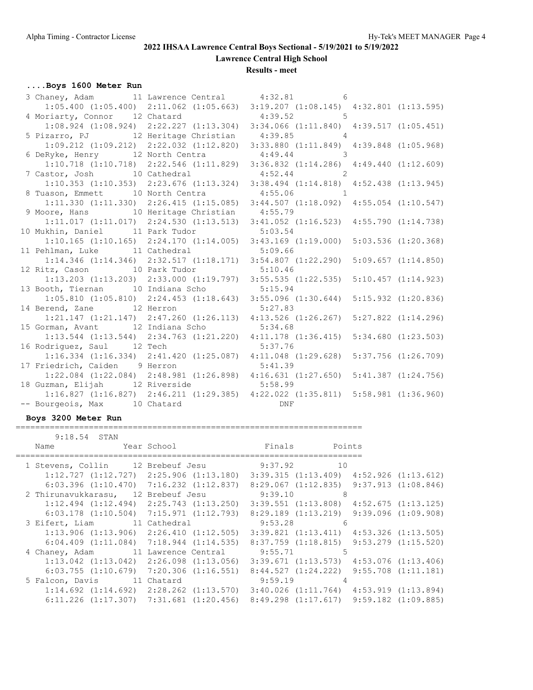**Lawrence Central High School**

**Results - meet**

# **....Boys 1600 Meter Run**

| 3 Chaney, Adam 11 Lawrence Central 4:32.81 6  |                                                                         |                                                                                                 |                         |
|-----------------------------------------------|-------------------------------------------------------------------------|-------------------------------------------------------------------------------------------------|-------------------------|
|                                               |                                                                         | $1:05.400$ $(1:05.400)$ $2:11.062$ $(1:05.663)$ $3:19.207$ $(1:08.145)$ $4:32.801$ $(1:13.595)$ |                         |
| 4 Moriarty, Connor 12 Chatard 4:39.52 5       |                                                                         |                                                                                                 |                         |
|                                               |                                                                         | $1:08.924 (1:08.924) 2:22.227 (1:13.304) 3:34.066 (1:11.840) 4:39.517 (1:05.451)$               |                         |
| 5 Pizarro, PJ 12 Heritage Christian 4:39.85 4 |                                                                         |                                                                                                 |                         |
|                                               | $1:09.212$ $(1:09.212)$ $2:22.032$ $(1:12.820)$                         | 3:33.880 (1:11.849) 4:39.848 (1:05.968)                                                         |                         |
| 6 DeRyke, Henry 12 North Centra 4:49.44 3     |                                                                         |                                                                                                 |                         |
|                                               |                                                                         | 1:10.718 (1:10.718) 2:22.546 (1:11.829) 3:36.832 (1:14.286) 4:49.440 (1:12.609)                 |                         |
| 7 Castor, Josh 10 Cathedral 4:52.44 2         |                                                                         |                                                                                                 |                         |
|                                               |                                                                         | 1:10.353 (1:10.353) 2:23.676 (1:13.324) 3:38.494 (1:14.818) 4:52.438 (1:13.945)                 |                         |
| 8 Tuason, Emmett 10 North Centra 4:55.06 1    |                                                                         |                                                                                                 |                         |
|                                               |                                                                         | 1:11.330 (1:11.330) 2:26.415 (1:15.085) 3:44.507 (1:18.092) 4:55.054 (1:10.547)                 |                         |
| 9 Moore, Hans 10 Heritage Christian 4:55.79   |                                                                         |                                                                                                 |                         |
|                                               |                                                                         | $1:11.017$ $(1:11.017)$ $2:24.530$ $(1:13.513)$ $3:41.052$ $(1:16.523)$ $4:55.790$ $(1:14.738)$ |                         |
| 10 Mukhin, Daniel 11 Park Tudor 5:03.54       |                                                                         |                                                                                                 |                         |
|                                               |                                                                         | $1:10.165$ $(1:10.165)$ $2:24.170$ $(1:14.005)$ $3:43.169$ $(1:19.000)$ $5:03.536$ $(1:20.368)$ |                         |
| 11 Pehlman, Luke 11 Cathedral 5:09.66         |                                                                         |                                                                                                 |                         |
|                                               |                                                                         | 1:14.346 (1:14.346) 2:32.517 (1:18.171) 3:54.807 (1:22.290) 5:09.657 (1:14.850)                 |                         |
| 12 Ritz, Cason 10 Park Tudor 5:10.46          |                                                                         |                                                                                                 |                         |
|                                               |                                                                         | $1:13.203$ $(1:13.203)$ $2:33.000$ $(1:19.797)$ $3:55.535$ $(1:22.535)$ $5:10.457$ $(1:14.923)$ |                         |
| 13 Booth, Tiernan 10 Indiana Scho 5:15.94     |                                                                         |                                                                                                 |                         |
|                                               | $1:05.810$ (1:05.810) $2:24.453$ (1:18.643) 3:55.096 (1:30.644)         |                                                                                                 | 5:15.932(1:20.836)      |
| 14 Berend, Zane 12 Herron 5:27.83             |                                                                         |                                                                                                 |                         |
|                                               |                                                                         | 1:21.147 (1:21.147) 2:47.260 (1:26.113) 4:13.526 (1:26.267) 5:27.822 (1:14.296)                 |                         |
| 15 Gorman, Avant 12 Indiana Scho 5:34.68      |                                                                         |                                                                                                 |                         |
|                                               |                                                                         | 1:13.544 (1:13.544) 2:34.763 (1:21.220) 4:11.178 (1:36.415) 5:34.680 (1:23.503)                 |                         |
| 16 Rodriguez, Saul 12 Tech 5:37.76            |                                                                         |                                                                                                 |                         |
|                                               | $1:16.334$ $(1:16.334)$ $2:41.420$ $(1:25.087)$ $4:11.048$ $(1:29.628)$ |                                                                                                 | $5:37.756$ $(1:26.709)$ |
| 17 Friedrich, Caiden 9 Herron 5:41.39         |                                                                         |                                                                                                 |                         |
|                                               |                                                                         | 1:22.084 (1:22.084) 2:48.981 (1:26.898) 4:16.631 (1:27.650) 5:41.387 (1:24.756)                 |                         |
| 18 Guzman, Elijah 12 Riverside 5:58.99        |                                                                         |                                                                                                 |                         |
|                                               |                                                                         | 1:16.827 (1:16.827) 2:46.211 (1:29.385) 4:22.022 (1:35.811) 5:58.981 (1:36.960)                 |                         |
| -- Bourgeois, Max 10 Chatard                  | DNF                                                                     |                                                                                                 |                         |

#### **Boys 3200 Meter Run**

#### ======================================================================= 9:18.54 STAN

| ۹، 19، 19⊤۰ ∪ 1                               |  |                                                 |         |                                                                                                 |  |
|-----------------------------------------------|--|-------------------------------------------------|---------|-------------------------------------------------------------------------------------------------|--|
| 1 Stevens, Collin 12 Brebeuf Jesu 9:37.92 10  |  |                                                 |         |                                                                                                 |  |
|                                               |  |                                                 |         | $1:12.727$ $(1:12.727)$ $2:25.906$ $(1:13.180)$ $3:39.315$ $(1:13.409)$ $4:52.926$ $(1:13.612)$ |  |
|                                               |  |                                                 |         | $6:03.396$ $(1:10.470)$ $7:16.232$ $(1:12.837)$ $8:29.067$ $(1:12.835)$ $9:37.913$ $(1:08.846)$ |  |
| 2 Thirunavukkarasu, 12 Brebeuf Jesu 3:39.10 8 |  |                                                 |         |                                                                                                 |  |
|                                               |  |                                                 |         | $1:12.494$ $(1:12.494)$ $2:25.743$ $(1:13.250)$ $3:39.551$ $(1:13.808)$ $4:52.675$ $(1:13.125)$ |  |
|                                               |  |                                                 |         | $6:03.178$ (1:10.504) 7:15.971 (1:12.793) 8:29.189 (1:13.219) 9:39.096 (1:09.908)               |  |
| 3 Eifert, Liam 11 Cathedral                   |  |                                                 | 9:53.28 | $6\overline{6}$                                                                                 |  |
|                                               |  |                                                 |         | $1:13.906$ $(1:13.906)$ $2:26.410$ $(1:12.505)$ $3:39.821$ $(1:13.411)$ $4:53.326$ $(1:13.505)$ |  |
|                                               |  |                                                 |         | $6:04.409$ $(1:11.084)$ $7:18.944$ $(1:14.535)$ $8:37.759$ $(1:18.815)$ $9:53.279$ $(1:15.520)$ |  |
| 4 Chaney, Adam 11 Lawrence Central 9:55.71 5  |  |                                                 |         |                                                                                                 |  |
|                                               |  |                                                 |         | $1:13.042$ $(1:13.042)$ $2:26.098$ $(1:13.056)$ $3:39.671$ $(1:13.573)$ $4:53.076$ $(1:13.406)$ |  |
|                                               |  | $6:03.755$ $(1:10.679)$ $7:20.306$ $(1:16.551)$ |         | $8:44.527$ $(1:24.222)$ $9:55.708$ $(1:11.181)$                                                 |  |
| 5 Falcon, Davis 11 Chatard                    |  |                                                 |         | $9:59.19$ 4                                                                                     |  |
|                                               |  |                                                 |         | $1:14.692$ $(1:14.692)$ $2:28.262$ $(1:13.570)$ $3:40.026$ $(1:11.764)$ $4:53.919$ $(1:13.894)$ |  |
|                                               |  |                                                 |         | $6:11.226$ $(1:17.307)$ $7:31.681$ $(1:20.456)$ $8:49.298$ $(1:17.617)$ $9:59.182$ $(1:09.885)$ |  |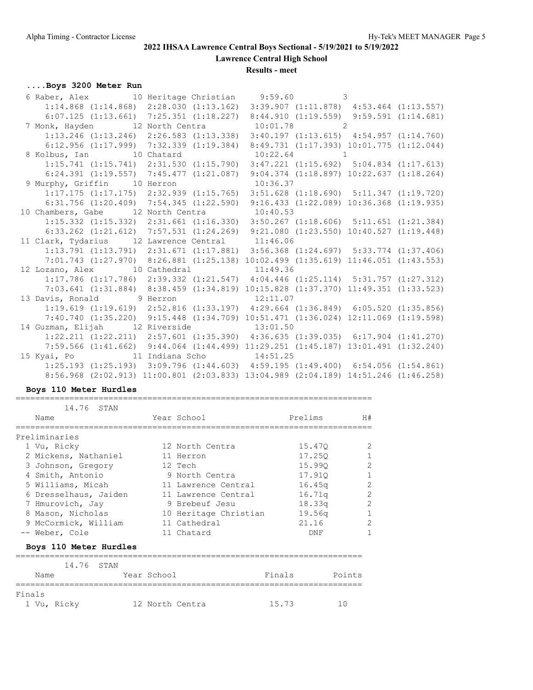**Lawrence Central High School**

**Results - meet**

## **....Boys 3200 Meter Run**

| 6 Raber, Alex 10 Heritage Christian 9:59.60 3 |                                                                                                                                                                                       |  |  |  |
|-----------------------------------------------|---------------------------------------------------------------------------------------------------------------------------------------------------------------------------------------|--|--|--|
|                                               | $1:14.868$ (1:14.868) 2:28.030 (1:13.162) 3:39.907 (1:11.878) 4:53.464 (1:13.557)                                                                                                     |  |  |  |
|                                               | $6:07.125$ (1:13.661) 7:25.351 (1:18.227) 8:44.910 (1:19.559) 9:59.591 (1:14.681)                                                                                                     |  |  |  |
|                                               | 7 Monk, Hayden 12 North Centra 10:01.78 2                                                                                                                                             |  |  |  |
|                                               | 1:13.246 (1:13.246) 2:26.583 (1:13.338) 3:40.197 (1:13.615) 4:54.957 (1:14.760)                                                                                                       |  |  |  |
|                                               | 6:12.956 (1:17.999) 7:32.339 (1:19.384) 8:49.731 (1:17.393) 10:01.775 (1:12.044)                                                                                                      |  |  |  |
|                                               | 8 Kolbus, Ian 10 Chatard 10:22.64 1                                                                                                                                                   |  |  |  |
|                                               | $1:15.741$ $(1:15.741)$ $2:31.530$ $(1:15.790)$ $3:47.221$ $(1:15.692)$ $5:04.834$ $(1:17.613)$                                                                                       |  |  |  |
|                                               | $6:24.391$ (1:19.557) 7:45.477 (1:21.087) 9:04.374 (1:18.897) 10:22.637 (1:18.264)                                                                                                    |  |  |  |
|                                               | 9 Murphy, Griffin 10 Herron 10:36.37                                                                                                                                                  |  |  |  |
|                                               | $1:17.175$ $(1:17.175)$ $2:32.939$ $(1:15.765)$ $3:51.628$ $(1:18.690)$ $5:11.347$ $(1:19.720)$                                                                                       |  |  |  |
|                                               | 6:31.756 (1:20.409) 7:54.345 (1:22.590) 9:16.433 (1:22.089) 10:36.368 (1:19.935)                                                                                                      |  |  |  |
|                                               | 10 Chambers, Gabe 12 North Centra 10:40.53                                                                                                                                            |  |  |  |
|                                               | 1:15.332 (1:15.332) 2:31.661 (1:16.330) 3:50.267 (1:18.606) 5:11.651 (1:21.384)                                                                                                       |  |  |  |
|                                               | 6:33.262 (1:21.612) 7:57.531 (1:24.269) 9:21.080 (1:23.550) 10:40.527 (1:19.448)                                                                                                      |  |  |  |
|                                               |                                                                                                                                                                                       |  |  |  |
|                                               | 11 Clark, Tydarius 12 Lawrence Central 11:46.06                                                                                                                                       |  |  |  |
|                                               | $1:13.791$ $(1:13.791)$ $2:31.671$ $(1:17.881)$ $3:56.368$ $(1:24.697)$ $5:33.774$ $(1:37.406)$                                                                                       |  |  |  |
|                                               | $7:01.743$ (1:27.970) 8:26.881 (1:25.138) 10:02.499 (1:35.619) 11:46.051 (1:43.553)                                                                                                   |  |  |  |
|                                               | 12 Lozano, Alex 10 Cathedral 11:49.36                                                                                                                                                 |  |  |  |
|                                               | 1:17.786 (1:17.786) 2:39.332 (1:21.547) 4:04.446 (1:25.114) 5:31.757 (1:27.312)                                                                                                       |  |  |  |
|                                               | 7:03.641 (1:31.884) 8:38.459 (1:34.819) 10:15.828 (1:37.370) 11:49.351 (1:33.523)                                                                                                     |  |  |  |
|                                               | 13 Davis, Ronald 9 Herron 12:11.07                                                                                                                                                    |  |  |  |
|                                               | $1:19.619$ $(1:19.619)$ $2:52.816$ $(1:33.197)$ $4:29.664$ $(1:36.849)$ $6:05.520$ $(1:35.856)$                                                                                       |  |  |  |
|                                               | 7:40.740 (1:35.220) 9:15.448 (1:34.709) 10:51.471 (1:36.024) 12:11.069 (1:19.598)                                                                                                     |  |  |  |
|                                               | 14 Guzman, Elijah 12 Riverside 13:01.50                                                                                                                                               |  |  |  |
|                                               | $1:22.211$ $(1:22.211)$ $2:57.601$ $(1:35.390)$ $4:36.635$ $(1:39.035)$ $6:17.904$ $(1:41.270)$                                                                                       |  |  |  |
|                                               | 7:59.566 (1:41.662) 9:44.064 (1:44.499) 11:29.251 (1:45.187) 13:01.491 (1:32.240)                                                                                                     |  |  |  |
|                                               |                                                                                                                                                                                       |  |  |  |
|                                               | $1:25.193$ $(1:25.193)$ $3:09.796$ $(1:44.603)$ $4:59.195$ $(1:49.400)$ $6:54.056$ $(1:54.861)$<br>8:56.968 (2:02.913) 11:00.801 (2:03.833) 13:04.989 (2:04.189) 14:51.246 (1:46.258) |  |  |  |

## **Boys 110 Meter Hurdles**

 14.76 STAN Name Year School Prelims H# ========================================================================= Preliminaries

=========================================================================

| 12 North Centra       | 15.470 | 2            |
|-----------------------|--------|--------------|
| 11 Herron             | 17.250 | $\mathbf{1}$ |
| 12 Tech               | 15.990 | 2            |
| 9 North Centra        | 17.910 | $\mathbf{1}$ |
| 11 Lawrence Central   | 16.45q | 2            |
| 11 Lawrence Central   | 16.71q | 2            |
| 9 Brebeuf Jesu        | 18.33q | 2            |
| 10 Heritage Christian | 19.56q | $\mathbf{1}$ |
| 11 Cathedral          | 21.16  | 2            |
| 11 Chatard            | DNF    | 1            |
|                       |        |              |
|                       |        |              |

|             | 14.76 STAN |  |                 |        |        |  |  |  |  |  |
|-------------|------------|--|-----------------|--------|--------|--|--|--|--|--|
| Name        |            |  | Year School     | Finals | Points |  |  |  |  |  |
| Finals      |            |  |                 |        |        |  |  |  |  |  |
| 1 Vu, Ricky |            |  | 12 North Centra | 15.73  | 10     |  |  |  |  |  |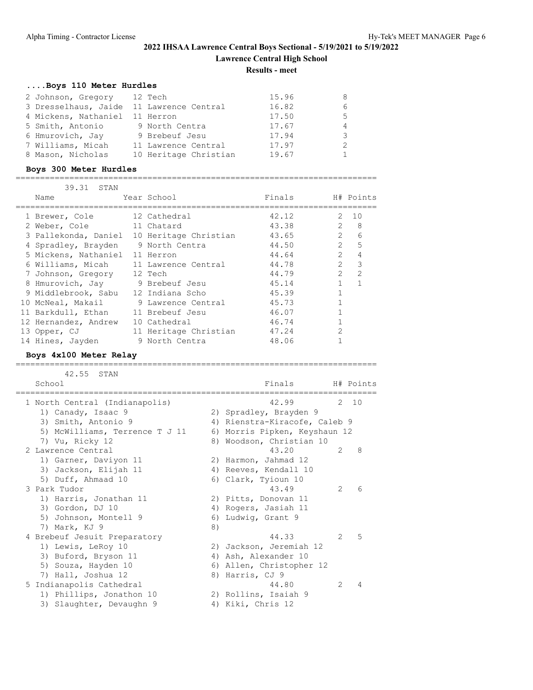# **2022 IHSAA Lawrence Central Boys Sectional - 5/19/2021 to 5/19/2022 Lawrence Central High School**

**Results - meet**

# **....Boys 110 Meter Hurdles**

| 2 Johnson, Gregory 12 Tech               |                       | 15.96 |               |
|------------------------------------------|-----------------------|-------|---------------|
| 3 Dresselhaus, Jaide 11 Lawrence Central |                       | 16.82 |               |
| 4 Mickens, Nathaniel 11 Herron           |                       | 17.50 | 5             |
| 5 Smith, Antonio                         | 9 North Centra        | 17.67 | 4             |
| 6 Hmurovich, Jay                         | 9 Brebeuf Jesu        | 17.94 | 3             |
| 7 Williams, Micah                        | 11 Lawrence Central   | 17.97 | $\mathcal{P}$ |
| 8 Mason, Nicholas                        | 10 Heritage Christian | 19.67 |               |

## **Boys 300 Meter Hurdles**

==========================================================================

| 39.31 STAN                            |                       |        |                |                               |
|---------------------------------------|-----------------------|--------|----------------|-------------------------------|
| Name                                  | Year School           | Finals |                | H# Points                     |
|                                       |                       |        |                |                               |
| 1 Brewer, Cole                        | 12 Cathedral          | 42.12  | 2              | 10                            |
| 2 Weber, Cole                         | 11 Chatard            | 43.38  | $\overline{2}$ | -8                            |
| 3 Pallekonda, Daniel                  | 10 Heritage Christian | 43.65  |                | $2^{\circ}$<br>6              |
| 4 Spradley, Brayden                   | 9 North Centra        | 44.50  |                | $2^{\circ}$<br>$\overline{5}$ |
| 5 Mickens, Nathaniel 11 Herron        |                       | 44.64  | $\overline{2}$ | $\overline{4}$                |
| 6 Williams, Micah 11 Lawrence Central |                       | 44.78  | $\mathcal{P}$  | 3                             |
| 7 Johnson, Gregory 12 Tech            |                       | 44.79  | $\mathfrak{D}$ | $\overline{2}$                |
| 8 Hmurovich, Jay 9 Brebeuf Jesu       |                       | 45.14  |                |                               |
| 9 Middlebrook, Sabu                   | 12 Indiana Scho       | 45.39  |                |                               |
| 10 McNeal, Makail                     | 9 Lawrence Central    | 45.73  |                |                               |
| 11 Barkdull, Ethan                    | 11 Brebeuf Jesu       | 46.07  |                |                               |
| 12 Hernandez, Andrew                  | 10 Cathedral          | 46.74  |                |                               |
| 13 Opper, CJ                          | 11 Heritage Christian | 47.24  | $\overline{2}$ |                               |
| 14 Hines, Jayden                      | 9 North Centra        | 48.06  |                |                               |

## **Boys 4x100 Meter Relay**

==========================================================================

| 42.55<br>STAN<br>School        |    | Finals H# Points              |                |       |
|--------------------------------|----|-------------------------------|----------------|-------|
| 1 North Central (Indianapolis) |    | 42.99                         |                | 2, 10 |
| 1) Canady, Isaac 9             |    | 2) Spradley, Brayden 9        |                |       |
| 3) Smith, Antonio 9            |    | 4) Rienstra-Kiracofe, Caleb 9 |                |       |
| 5) McWilliams, Terrence T J 11 |    | 6) Morris Pipken, Keyshaun 12 |                |       |
| 7) Vu, Ricky 12                |    | 8) Woodson, Christian 10      |                |       |
| 2 Lawrence Central             |    | 43.20                         | $\mathcal{L}$  | 8     |
| 1) Garner, Daviyon 11          |    | 2) Harmon, Jahmad 12          |                |       |
| 3) Jackson, Elijah 11          |    | 4) Reeves, Kendall 10         |                |       |
| 5) Duff, Ahmaad 10             |    | 6) Clark, Tyioun 10           |                |       |
| 3 Park Tudor                   |    | 43.49                         | $\mathcal{L}$  | 6     |
| 1) Harris, Jonathan 11         |    | 2) Pitts, Donovan 11          |                |       |
| 3) Gordon, DJ 10               |    | 4) Rogers, Jasiah 11          |                |       |
| 5) Johnson, Montell 9          |    | 6) Ludwig, Grant 9            |                |       |
| 7) Mark, KJ 9                  | 8) |                               |                |       |
| 4 Brebeuf Jesuit Preparatory   |    | 44.33                         | $\mathcal{L}$  | 5     |
| 1) Lewis, LeRoy 10             |    | 2) Jackson, Jeremiah 12       |                |       |
| 3) Buford, Bryson 11           |    | 4) Ash, Alexander 10          |                |       |
| 5) Souza, Hayden 10            |    | 6) Allen, Christopher 12      |                |       |
| 7) Hall, Joshua 12             |    | 8) Harris, CJ 9               |                |       |
| 5 Indianapolis Cathedral       |    | 44.80                         | $\mathfrak{D}$ | 4     |
| 1) Phillips, Jonathon 10       |    | 2) Rollins, Isaiah 9          |                |       |
| 3) Slaughter, Devaughn 9       |    | 4) Kiki, Chris 12             |                |       |
|                                |    |                               |                |       |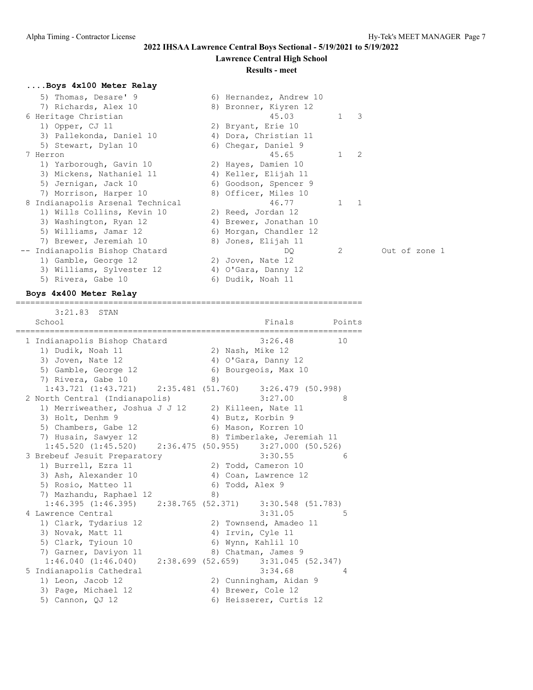## **Lawrence Central High School**

#### **Results - meet**

## **....Boys 4x100 Meter Relay**

| 5) Thomas, Desare' 9             | 6) Hernandez, Andrew 10 |             |   |               |
|----------------------------------|-------------------------|-------------|---|---------------|
| 7) Richards, Alex 10             | 8) Bronner, Kiyren 12   |             |   |               |
| 6 Heritage Christian             | 45.03                   | $1 \quad 3$ |   |               |
| 1) Opper, CJ 11                  | 2) Bryant, Erie 10      |             |   |               |
| 3) Pallekonda, Daniel 10         | 4) Dora, Christian 11   |             |   |               |
| 5) Stewart, Dylan 10             | 6) Chegar, Daniel 9     |             |   |               |
| 7 Herron                         | 45.65                   | 1           | 2 |               |
| 1) Yarborough, Gavin 10          | 2) Hayes, Damien 10     |             |   |               |
| 3) Mickens, Nathaniel 11         | 4) Keller, Elijah 11    |             |   |               |
| 5) Jernigan, Jack 10             | 6) Goodson, Spencer 9   |             |   |               |
| 7) Morrison, Harper 10           | 8) Officer, Miles 10    |             |   |               |
| 8 Indianapolis Arsenal Technical | 46.77                   |             |   |               |
| 1) Wills Collins, Kevin 10       | 2) Reed, Jordan 12      |             |   |               |
| 3) Washington, Ryan 12           | 4) Brewer, Jonathan 10  |             |   |               |
| 5) Williams, Jamar 12            | 6) Morgan, Chandler 12  |             |   |               |
| 7) Brewer, Jeremiah 10           | 8) Jones, Elijah 11     |             |   |               |
| -- Indianapolis Bishop Chatard   | DQ.                     | 2           |   | Out of zone 1 |
| 1) Gamble, George 12             | 2) Joven, Nate 12       |             |   |               |
| 3) Williams, Sylvester 12        | 4) O'Gara, Danny 12     |             |   |               |
| 5) Rivera, Gabe 10               | 6) Dudik, Noah 11       |             |   |               |

#### **Boys 4x400 Meter Relay**

 3:21.83 STAN School **Finals** Points Points ======================================================================= 1 Indianapolis Bishop Chatard 3:26.48 10 1) Dudik, Noah 11 2) Nash, Mike 12 3) Joven, Nate 12 4) O'Gara, Danny 12 5) Gamble, George 12 (6) Bourgeois, Max 10 7) Rivera, Gabe 10 8) 1:43.721 (1:43.721) 2:35.481 (51.760) 3:26.479 (50.998)<br>orth Central (Indianapolis) 3:27.00 8 2 North Central (Indianapolis) 3:27.00 8 1) Merriweather, Joshua J J 12 2) Killeen, Nate 11 3) Holt, Denhm 9 4) Butz, Korbin 9 5) Chambers, Gabe 12 6) Mason, Korren 10 7) Husain, Sawyer 12 8) Timberlake, Jeremiah 11 1:45.520 (1:45.520) 2:36.475 (50.955) 3:27.000 (50.526) 3 Brebeuf Jesuit Preparatory 3:30.55 6 1) Burrell, Ezra 11 2) Todd, Cameron 10 3) Ash, Alexander 10 (4) Coan, Lawrence 12 5) Rosio, Matteo 11 6) Todd, Alex 9 7) Mazhandu, Raphael 12 (8) 1:46.395 (1:46.395) 2:38.765 (52.371) 3:30.548 (51.783) 4 Lawrence Central 5:31.05 5 1) Clark, Tydarius 12 2) Townsend, Amadeo 11 3) Novak, Matt 11 4) Irvin, Cyle 11 5) Clark, Tyioun 10 6) Wynn, Kahlil 10 7) Garner, Daviyon 11 68 89 Chatman, James 9 1:46.040 (1:46.040) 2:38.699 (52.659) 3:31.045 (52.347) 5 Indianapolis Cathedral 3:34.68 4 1) Leon, Jacob 12 2) Cunningham, Aidan 9 3) Page, Michael 12 4) Brewer, Cole 12 5) Cannon, QJ 12 6) Heisserer, Curtis 12

=======================================================================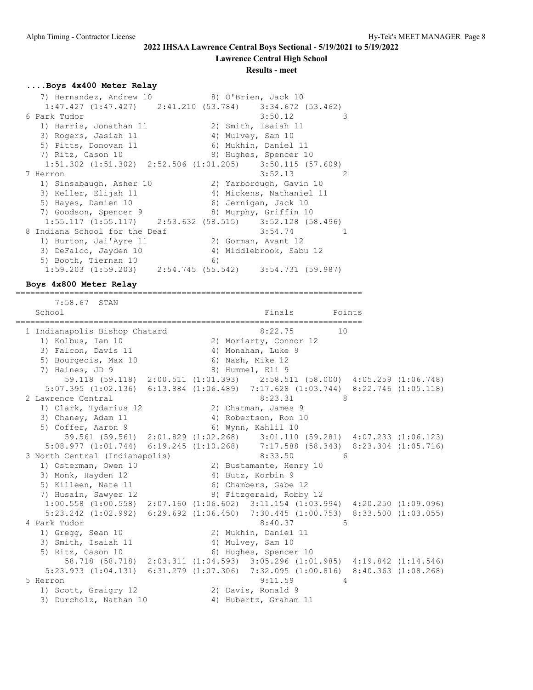#### **Lawrence Central High School**

#### **Results - meet**

#### **....Boys 4x400 Meter Relay**

| 7) Hernandez, Andrew 10       | 8) O'Brien, Jack 10                                                   |
|-------------------------------|-----------------------------------------------------------------------|
|                               | $1:47.427$ $(1:47.427)$ $2:41.210$ $(53.784)$ $3:34.672$ $(53.462)$   |
| 6 Park Tudor                  | 3:50.12<br>3                                                          |
| 1) Harris, Jonathan 11        | 2) Smith, Isaiah 11                                                   |
| 3) Rogers, Jasiah 11          | 4) Mulvey, Sam 10                                                     |
| 5) Pitts, Donovan 11          | 6) Mukhin, Daniel 11                                                  |
| 7) Ritz, Cason 10             | 8) Hughes, Spencer 10                                                 |
|                               | $1:51.302$ $(1:51.302)$ $2:52.506$ $(1:01.205)$ $3:50.115$ $(57.609)$ |
| 7 Herron                      | 3:52.13<br>-2                                                         |
| 1) Sinsabaugh, Asher 10       | 2) Yarborough, Gavin 10                                               |
| 3) Keller, Elijah 11          | 4) Mickens, Nathaniel 11                                              |
| 5) Hayes, Damien 10           | 6) Jernigan, Jack 10                                                  |
| 7) Goodson, Spencer 9         | 8) Murphy, Griffin 10                                                 |
|                               | $1:55.117$ $(1:55.117)$ $2:53.632$ $(58.515)$ $3:52.128$ $(58.496)$   |
| 8 Indiana School for the Deaf | 3:54.74                                                               |
| 1) Burton, Jai'Ayre 11        | 2) Gorman, Avant 12                                                   |
| 3) DeFalco, Jayden 10         | 4) Middlebrook, Sabu 12                                               |
| 5) Booth, Tiernan 10          | 6)                                                                    |
|                               | $1:59.203$ $(1:59.203)$ $2:54.745$ $(55.542)$ $3:54.731$ $(59.987)$   |

#### **Boys 4x800 Meter Relay**

=======================================================================

 7:58.67 STAN School **Finals** Points Points Points Points Points Points Points Points Points Points Points Points Points Points Points Points Points Points Points Points Points Points Points Points Points Points Points Points Points Poi ======================================================================= 1 Indianapolis Bishop Chatard 8:22.75 10 1) Kolbus, Ian 10 2) Moriarty, Connor 12 3) Falcon, Davis 11 (4) Monahan, Luke 9 3) Falcon, Davis 11<br>5) Bourgeois, Max 10<br>7) Haines, JD 9 6) Nash, Mike 12<br>8) Hummel, Eli 9 59.118 (59.118) 2:00.511 (1:01.393) 2:58.511 (58.000) 4:05.259 (1:06.748) 5:07.395 (1:02.136) 6:13.884 (1:06.489) 7:17.628 (1:03.744) 8:22.746 (1:05.118) 2 Lawrence Central 2 2 Lawrence 3:23.31 1) Clark, Tydarius 12 (2) Chatman, James 9 3) Chaney, Adam 11 4) Robertson, Ron 10 5) Coffer, Aaron 9 6) Wynn, Kahlil 10 59.561 (59.561) 2:01.829 (1:02.268) 3:01.110 (59.281) 4:07.233 (1:06.123) 5:08.977 (1:01.744) 6:19.245 (1:10.268) 7:17.588 (58.343) 8:23.304 (1:05.716) 3 North Central (Indianapolis) 8:33.50 6 1) Osterman, Owen 10 2) Bustamante, Henry 10 3) Monk, Hayden 12 4) Butz, Korbin 9 5) Killeen, Nate 11 6) Chambers, Gabe 12 7) Husain, Sawyer 12 and 8) Fitzgerald, Robby 12 1:00.558 (1:00.558) 2:07.160 (1:06.602) 3:11.154 (1:03.994) 4:20.250 (1:09.096) 5:23.242 (1:02.992) 6:29.692 (1:06.450) 7:30.445 (1:00.753) 8:33.500 (1:03.055) 4 Park Tudor 8:40.37 5 1) Gregg, Sean 10 2) Mukhin, Daniel 11 3) Smith, Isaiah 11 4) Mulvey, Sam 10 5) Ritz, Cason 10 6) Hughes, Spencer 10 58.718 (58.718) 2:03.311 (1:04.593) 3:05.296 (1:01.985) 4:19.842 (1:14.546) 5:23.973 (1:04.131) 6:31.279 (1:07.306) 7:32.095 (1:00.816) 8:40.363 (1:08.268) 5 Herron 9:11.59 4 1) Scott, Graigry 12 2) Davis, Ronald 9 3) Durcholz, Nathan 10 4) Hubertz, Graham 11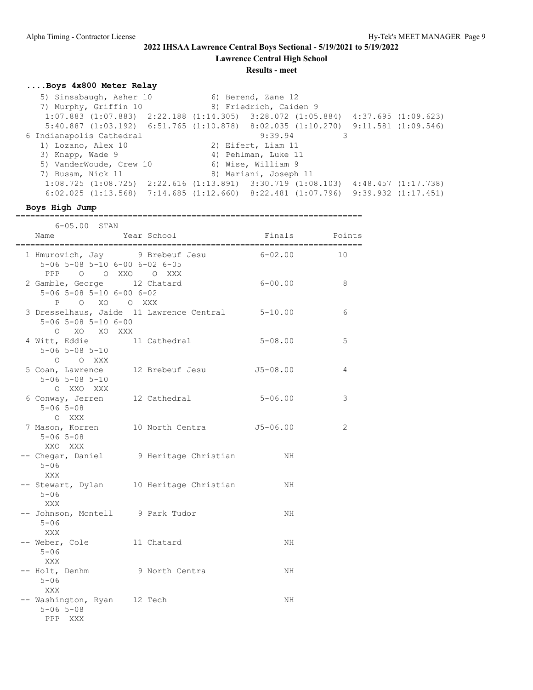**Lawrence Central High School**

**Results - meet**

## **....Boys 4x800 Meter Relay**

5) Sinsabaugh, Asher 10 6) Berend, Zane 12 7) Murphy, Griffin 10 8) Friedrich, Caiden 9 1:07.883 (1:07.883) 2:22.188 (1:14.305) 3:28.072 (1:05.884) 4:37.695 (1:09.623) 5:40.887 (1:03.192) 6:51.765 (1:10.878) 8:02.035 (1:10.270) 9:11.581 (1:09.546) 6 Indianapolis Cathedral 9:39.94 3 1) Lozano, Alex 10 2) Eifert, Liam 11 3) Knapp, Wade 9 4) Pehlman, Luke 11 5) VanderWoude, Crew 10 6) Wise, William 9 7) Busam, Nick 11 8) Mariani, Joseph 11 1:08.725 (1:08.725) 2:22.616 (1:13.891) 3:30.719 (1:08.103) 4:48.457 (1:17.738) 6:02.025 (1:13.568) 7:14.685 (1:12.660) 8:22.481 (1:07.796) 9:39.932 (1:17.451)

#### **Boys High Jump**

| $6 - 05.00$ STAN                                                                            |                                                  |               |    |
|---------------------------------------------------------------------------------------------|--------------------------------------------------|---------------|----|
| Name                                                                                        | Year School                                      | Finals Points |    |
| 5-06 5-08 5-10 6-00 6-02 6-05<br>PPP 0 0 XXO 0 XXX                                          | 1 Hmurovich, Jay 9 Brebeuf Jesu 6-02.00          |               | 10 |
| 2 Gamble, George 12 Chatard<br>$5 - 06$ $5 - 08$ $5 - 10$ $6 - 00$ $6 - 02$<br>P O XO O XXX |                                                  | $6 - 00.00$   | 8  |
| $5 - 06$ $5 - 08$ $5 - 10$ $6 - 00$<br>O XO XO XXX                                          | 3 Dresselhaus, Jaide 11 Lawrence Central 5-10.00 |               | 6  |
| 4 Witt, Eddie 11 Cathedral<br>$5 - 06$ $5 - 08$ $5 - 10$<br>$O$ $O$ XXX                     |                                                  | $5 - 08.00$   | 5  |
| 5 Coan, Lawrence 12 Brebeuf Jesu<br>$5 - 06$ $5 - 08$ $5 - 10$<br>O XXO XXX                 |                                                  | $J5 - 08.00$  | 4  |
| 6 Conway, Jerren 12 Cathedral<br>$5 - 06$ $5 - 08$<br>O XXX                                 |                                                  | $5 - 06.00$   | 3  |
| $5 - 06$ $5 - 08$<br>XXO XXX                                                                | 7 Mason, Korren 10 North Centra 55-06.00         |               | 2  |
| $5 - 06$<br>XXX                                                                             | -- Chegar, Daniel 9 Heritage Christian           | NH            |    |
| $5 - 06$<br>XXX                                                                             | -- Stewart, Dylan 10 Heritage Christian          | NH            |    |
| -- Johnson, Montell 9 Park Tudor<br>$5 - 06$<br>XXX                                         |                                                  | NH.           |    |
| -- Weber, Cole 11 Chatard<br>$5 - 06$<br>XXX                                                |                                                  | NH            |    |
| -- Holt, Denhm 9 North Centra<br>$5 - 06$<br>XXX                                            |                                                  | NH            |    |
| -- Washington, Ryan 12 Tech<br>$5 - 06$ $5 - 08$<br>PPP XXX                                 |                                                  | NH            |    |

=======================================================================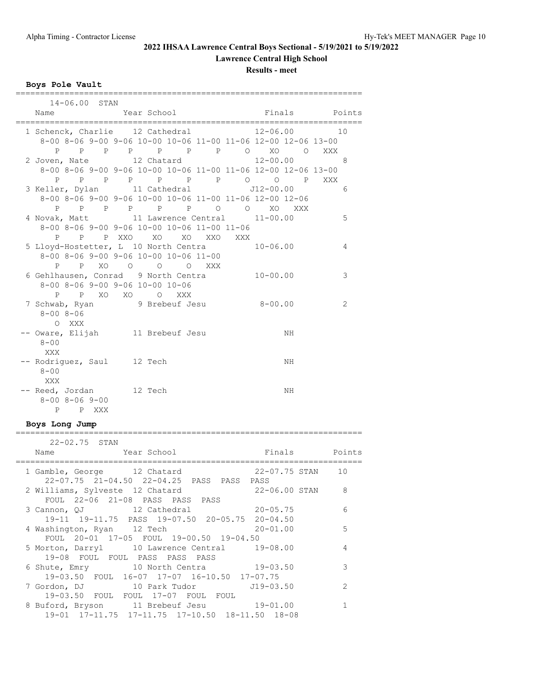**Lawrence Central High School**

## **Results - meet**

**Boys Pole Vault**

| 14-06.00 STAN                                           |                                                                                     |                |    |
|---------------------------------------------------------|-------------------------------------------------------------------------------------|----------------|----|
| Name                                                    | Year School <a> Finals <a> Finals <a> Points</a></a></a>                            |                |    |
|                                                         | 1 Schenck, Charlie 12 Cathedral 12-06.00                                            |                | 10 |
|                                                         | 8-00 8-06 9-00 9-06 10-00 10-06 11-00 11-06 12-00 12-06 13-00                       |                |    |
|                                                         | P P P P P P P P O XO O XXX                                                          |                |    |
|                                                         | 2 Joven, Nate 12 Chatard                                                            | $12 - 00.00$ 8 |    |
|                                                         | 8-00 8-06 9-00 9-06 10-00 10-06 11-00 11-06 12-00 12-06 13-00                       |                |    |
|                                                         | P P P P P P P P P XXX                                                               |                |    |
|                                                         | 3 Keller, Dylan 11 Cathedral 512-00.00                                              |                | 6  |
|                                                         | 8-00 8-06 9-00 9-06 10-00 10-06 11-00 11-06 12-00 12-06<br>P P P P P P P O O XO XXX |                |    |
|                                                         | 4 Novak, Matt 11 Lawrence Central 11-00.00                                          |                | 5  |
|                                                         | 8-00 8-06 9-00 9-06 10-00 10-06 11-00 11-06                                         |                |    |
|                                                         | P P P XXO XO XO XXO XXX                                                             |                |    |
|                                                         | 5 Lloyd-Hostetter, L 10 North Centra 10-06.00                                       |                | 4  |
|                                                         | 8-00 8-06 9-00 9-06 10-00 10-06 11-00                                               |                |    |
|                                                         | P P XO O O O XXX                                                                    |                |    |
|                                                         | 6 Gehlhausen, Conrad 9 North Centra 10-00.00                                        |                | 3  |
| $8 - 00$ $8 - 06$ $9 - 00$ $9 - 06$ $10 - 00$ $10 - 06$ |                                                                                     |                |    |
| P P XO XO O XXX                                         |                                                                                     |                |    |
|                                                         | 7 Schwab, Ryan 9 Brebeuf Jesu 8-00.00                                               |                | 2  |
| $8 - 008 - 06$<br>O XXX                                 |                                                                                     |                |    |
| -- Oware, Elijah 11 Brebeuf Jesu                        |                                                                                     | NH             |    |
| $8 - 00$                                                |                                                                                     |                |    |
| XXX                                                     |                                                                                     |                |    |
| -- Rodriguez, Saul 12 Tech                              |                                                                                     | NH             |    |
| $8 - 00$                                                |                                                                                     |                |    |
| XXX                                                     |                                                                                     |                |    |
| -- Reed, Jordan 12 Tech                                 |                                                                                     | NH             |    |
| $8 - 00$ $8 - 06$ $9 - 00$                              |                                                                                     |                |    |
| P P XXX                                                 |                                                                                     |                |    |

## **Boys Long Jump**

| 22-02.75 STAN                                                            |               |
|--------------------------------------------------------------------------|---------------|
| Year School<br>Finals Points<br>Name                                     |               |
| 22-07.75 STAN 10                                                         |               |
| 1 Gamble, George 12 Chatard<br>22-07.75 21-04.50 22-04.25 PASS PASS PASS |               |
|                                                                          |               |
| 22-06.00 STAN 8<br>2 Williams, Sylveste 12 Chatard                       |               |
| FOUL 22-06 21-08 PASS PASS PASS                                          |               |
| 3 Cannon, QJ 12 Cathedral 20-05.75                                       | 6             |
| 19-11 19-11.75 PASS 19-07.50 20-05.75 20-04.50                           |               |
| $20 - 01.00$<br>4 Washington, Ryan 12 Tech                               | 5             |
| FOUL 20-01 17-05 FOUL 19-00.50 19-04.50                                  |               |
| 5 Morton, Darryl 10 Lawrence Central 19-08.00                            | 4             |
| 19-08 FOUL FOUL PASS PASS PASS                                           |               |
| 6 Shute, Emry 10 North Centra 19-03.50                                   | 3             |
| 19-03.50 FOUL 16-07 17-07 16-10.50 17-07.75                              |               |
| 7 Gordon, DJ 10 Park Tudor 519-03.50                                     | $\mathcal{L}$ |
| 19-03.50 FOUL FOUL 17-07 FOUL FOUL                                       |               |
| 8 Buford, Bryson 11 Brebeuf Jesu 19-01.00                                |               |
| 19-01 17-11.75 17-11.75 17-10.50 18-11.50 18-08                          |               |
|                                                                          |               |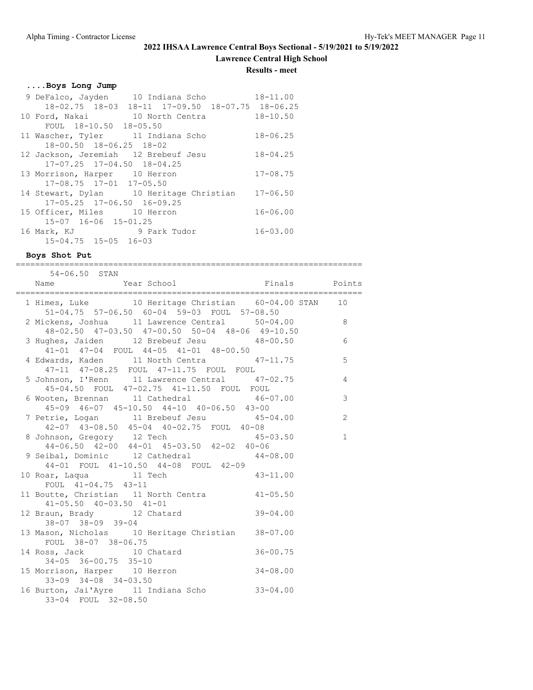**Lawrence Central High School**

#### **Results - meet**

#### **....Boys Long Jump**

|                                      | 9 DeFalco, Jayden 10 Indiana Scho                | $18 - 11.00$ |
|--------------------------------------|--------------------------------------------------|--------------|
|                                      | 18-02.75 18-03 18-11 17-09.50 18-07.75 18-06.25  |              |
|                                      | 10 Ford, Nakai 10 North Centra 18-10.50          |              |
| FOUL 18-10.50 18-05.50               |                                                  |              |
| 11 Wascher, Tyler 11 Indiana Scho    |                                                  | $18 - 06.25$ |
| 18-00.50 18-06.25 18-02              |                                                  |              |
| 12 Jackson, Jeremiah 12 Brebeuf Jesu |                                                  | $18 - 04.25$ |
| $17-07.25$ $17-04.50$ $18-04.25$     |                                                  |              |
| 13 Morrison, Harper 10 Herron        |                                                  | $17 - 08.75$ |
| 17-08.75 17-01 17-05.50              |                                                  |              |
|                                      | 14 Stewart, Dylan 10 Heritage Christian 17-06.50 |              |
| 17-05.25 17-06.50 16-09.25           |                                                  |              |
| 15 Officer, Miles 10 Herron          |                                                  | $16 - 06.00$ |
| 15-07 16-06 15-01.25                 |                                                  |              |
| 16 Mark, KJ 9 Park Tudor             |                                                  | $16 - 03.00$ |
| $15 - 04.75$ $15 - 05$ $16 - 03$     |                                                  |              |

#### **Boys Shot Put**

======================================================================= 54-06.50 STAN Name Year School Finals Points ======================================================================= 1 Himes, Luke 10 Heritage Christian 60-04.00 STAN 10 51-04.75 57-06.50 60-04 59-03 FOUL 57-08.50 2 Mickens, Joshua 11 Lawrence Central 50-04.00 8 48-02.50 47-03.50 47-00.50 50-04 48-06 49-10.50 3 Hughes, Jaiden 12 Brebeuf Jesu 48-00.50 6 41-01 47-04 FOUL 44-05 41-01 48-00.50 4 Edwards, Kaden 11 North Centra 47-11.75 5 47-11 47-08.25 FOUL 47-11.75 FOUL FOUL 5 Johnson, I'Renn 11 Lawrence Central 47-02.75 4 45-04.50 FOUL 47-02.75 41-11.50 FOUL FOUL 6 Wooten, Brennan 11 Cathedral 46-07.00 3 45-09 46-07 45-10.50 44-10 40-06.50 43-00 7 Petrie, Logan 11 Brebeuf Jesu 45-04.00 2 42-07 43-08.50 45-04 40-02.75 FOUL 40-08 8 Johnson, Gregory 12 Tech 45-03.50 1 44-06.50 42-00 44-01 45-03.50 42-02 40-06 9 Seibal, Dominic 12 Cathedral 44-08.00 44-01 FOUL 41-10.50 44-08 FOUL 42-09 10 Roar, Laqua 11 Tech 43-11.00 FOUL 41-04.75 43-11 11 Boutte, Christian 11 North Centra 41-05.50 41-05.50 40-03.50 41-01 12 Braun, Brady 12 Chatard 39-04.00 38-07 38-09 39-04 13 Mason, Nicholas 10 Heritage Christian 38-07.00 FOUL 38-07 38-06.75 14 Ross, Jack 10 Chatard 36-00.75 34-05 36-00.75 35-10

 15 Morrison, Harper 10 Herron 34-08.00 33-09 34-08 34-03.50 16 Burton, Jai'Ayre 11 Indiana Scho 33-04.00 33-04 FOUL 32-08.50